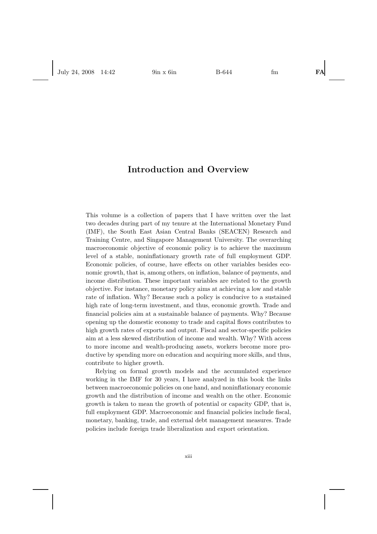## **Introduction and Overview**

This volume is a collection of papers that I have written over the last two decades during part of my tenure at the International Monetary Fund (IMF), the South East Asian Central Banks (SEACEN) Research and Training Centre, and Singapore Management University. The overarching macroeconomic objective of economic policy is to achieve the maximum level of a stable, noninflationary growth rate of full employment GDP. Economic policies, of course, have effects on other variables besides economic growth, that is, among others, on inflation, balance of payments, and income distribution. These important variables are related to the growth objective. For instance, monetary policy aims at achieving a low and stable rate of inflation. Why? Because such a policy is conducive to a sustained high rate of long-term investment, and thus, economic growth. Trade and financial policies aim at a sustainable balance of payments. Why? Because opening up the domestic economy to trade and capital flows contributes to high growth rates of exports and output. Fiscal and sector-specific policies aim at a less skewed distribution of income and wealth. Why? With access to more income and wealth-producing assets, workers become more productive by spending more on education and acquiring more skills, and thus, contribute to higher growth.

Relying on formal growth models and the accumulated experience working in the IMF for 30 years, I have analyzed in this book the links between macroeconomic policies on one hand, and noninflationary economic growth and the distribution of income and wealth on the other. Economic growth is taken to mean the growth of potential or capacity GDP, that is, full employment GDP. Macroeconomic and financial policies include fiscal, monetary, banking, trade, and external debt management measures. Trade policies include foreign trade liberalization and export orientation.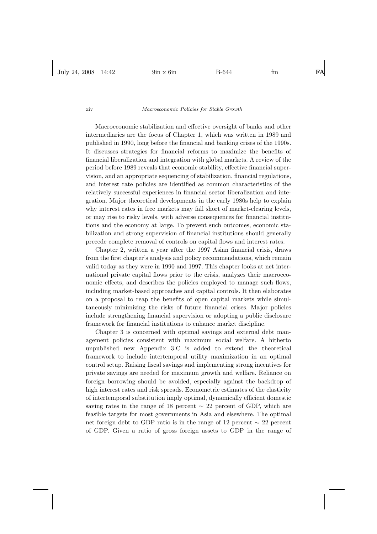Macroeconomic stabilization and effective oversight of banks and other intermediaries are the focus of Chapter 1, which was written in 1989 and published in 1990, long before the financial and banking crises of the 1990s. It discusses strategies for financial reforms to maximize the benefits of financial liberalization and integration with global markets. A review of the period before 1989 reveals that economic stability, effective financial supervision, and an appropriate sequencing of stabilization, financial regulations, and interest rate policies are identified as common characteristics of the relatively successful experiences in financial sector liberalization and integration. Major theoretical developments in the early 1980s help to explain why interest rates in free markets may fall short of market-clearing levels, or may rise to risky levels, with adverse consequences for financial institutions and the economy at large. To prevent such outcomes, economic stabilization and strong supervision of financial institutions should generally precede complete removal of controls on capital flows and interest rates.

Chapter 2, written a year after the 1997 Asian financial crisis, draws from the first chapter's analysis and policy recommendations, which remain valid today as they were in 1990 and 1997. This chapter looks at net international private capital flows prior to the crisis, analyzes their macroeconomic effects, and describes the policies employed to manage such flows, including market-based approaches and capital controls. It then elaborates on a proposal to reap the benefits of open capital markets while simultaneously minimizing the risks of future financial crises. Major policies include strengthening financial supervision or adopting a public disclosure framework for financial institutions to enhance market discipline.

Chapter 3 is concerned with optimal savings and external debt management policies consistent with maximum social welfare. A hitherto unpublished new Appendix 3.C is added to extend the theoretical framework to include intertemporal utility maximization in an optimal control setup. Raising fiscal savings and implementing strong incentives for private savings are needed for maximum growth and welfare. Reliance on foreign borrowing should be avoided, especially against the backdrop of high interest rates and risk spreads. Econometric estimates of the elasticity of intertemporal substitution imply optimal, dynamically efficient domestic saving rates in the range of 18 percent  $\sim$  22 percent of GDP, which are feasible targets for most governments in Asia and elsewhere. The optimal net foreign debt to GDP ratio is in the range of 12 percent ∼ 22 percent of GDP. Given a ratio of gross foreign assets to GDP in the range of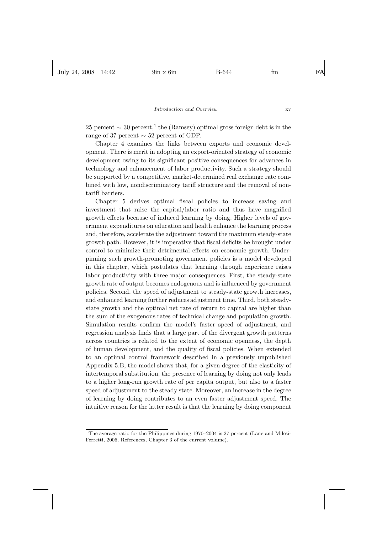25 percent  $\sim 30$  percent,<sup>1</sup> the (Ramsey) optimal gross foreign debt is in the range of 37 percent  $\sim$  52 percent of GDP.

Chapter 4 examines the links between exports and economic development. There is merit in adopting an export-oriented strategy of economic development owing to its significant positive consequences for advances in technology and enhancement of labor productivity. Such a strategy should be supported by a competitive, market-determined real exchange rate combined with low, nondiscriminatory tariff structure and the removal of nontariff barriers.

Chapter 5 derives optimal fiscal policies to increase saving and investment that raise the capital/labor ratio and thus have magnified growth effects because of induced learning by doing. Higher levels of government expenditures on education and health enhance the learning process and, therefore, accelerate the adjustment toward the maximum steady-state growth path. However, it is imperative that fiscal deficits be brought under control to minimize their detrimental effects on economic growth. Underpinning such growth-promoting government policies is a model developed in this chapter, which postulates that learning through experience raises labor productivity with three major consequences. First, the steady-state growth rate of output becomes endogenous and is influenced by government policies. Second, the speed of adjustment to steady-state growth increases, and enhanced learning further reduces adjustment time. Third, both steadystate growth and the optimal net rate of return to capital are higher than the sum of the exogenous rates of technical change and population growth. Simulation results confirm the model's faster speed of adjustment, and regression analysis finds that a large part of the divergent growth patterns across countries is related to the extent of economic openness, the depth of human development, and the quality of fiscal policies. When extended to an optimal control framework described in a previously unpublished Appendix 5.B, the model shows that, for a given degree of the elasticity of intertemporal substitution, the presence of learning by doing not only leads to a higher long-run growth rate of per capita output, but also to a faster speed of adjustment to the steady state. Moreover, an increase in the degree of learning by doing contributes to an even faster adjustment speed. The intuitive reason for the latter result is that the learning by doing component

<sup>1</sup>The average ratio for the Philippines during 1970–2004 is 27 percent (Lane and Milesi-Ferretti, 2006, References, Chapter 3 of the current volume).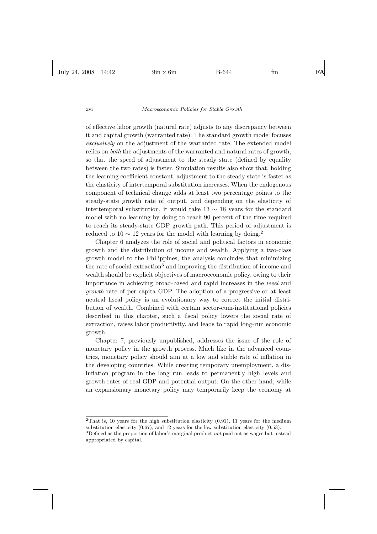of effective labor growth (natural rate) adjusts to any discrepancy between it and capital growth (warranted rate). The standard growth model focuses *exclusively* on the adjustment of the warranted rate. The extended model relies on *both* the adjustments of the warranted and natural rates of growth, so that the speed of adjustment to the steady state (defined by equality between the two rates) is faster. Simulation results also show that, holding the learning coefficient constant, adjustment to the steady state is faster as the elasticity of intertemporal substitution increases. When the endogenous component of technical change adds at least two percentage points to the steady-state growth rate of output, and depending on the elasticity of intertemporal substitution, it would take  $13 \sim 18$  years for the standard model with no learning by doing to reach 90 percent of the time required to reach its steady-state GDP growth path. This period of adjustment is reduced to 10  $\sim$  12 years for the model with learning by doing.<sup>2</sup>

Chapter 6 analyzes the role of social and political factors in economic growth and the distribution of income and wealth. Applying a two-class growth model to the Philippines, the analysis concludes that minimizing the rate of social extraction<sup>3</sup> and improving the distribution of income and wealth should be explicit objectives of macroeconomic policy, owing to their importance in achieving broad-based and rapid increases in the *level* and *growth* rate of per capita GDP. The adoption of a progressive or at least neutral fiscal policy is an evolutionary way to correct the initial distribution of wealth. Combined with certain sector-cum-institutional policies described in this chapter, such a fiscal policy lowers the social rate of extraction, raises labor productivity, and leads to rapid long-run economic growth.

Chapter 7, previously unpublished, addresses the issue of the role of monetary policy in the growth process. Much like in the advanced countries, monetary policy should aim at a low and stable rate of inflation in the developing countries. While creating temporary unemployment, a disinflation program in the long run leads to permanently high levels and growth rates of real GDP and potential output. On the other hand, while an expansionary monetary policy may temporarily keep the economy at

<sup>&</sup>lt;sup>2</sup>That is, 10 years for the high substitution elasticity  $(0.91)$ , 11 years for the medium substitution elasticity (0.67), and 12 years for the low substitution elasticity (0.53).

<sup>3</sup>Defined as the proportion of labor's marginal product *not* paid out as wages but instead appropriated by capital.